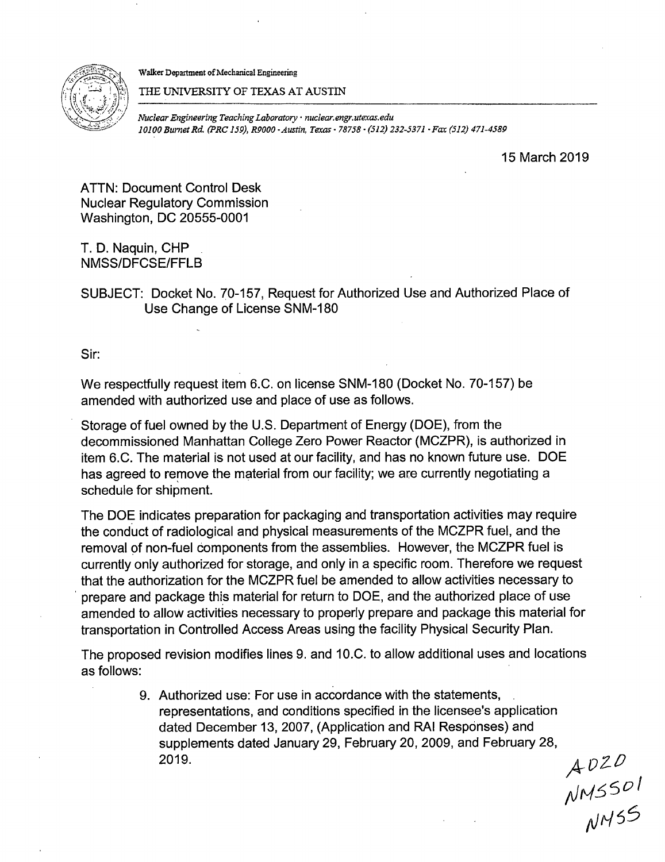



THE UNIVERSITY OF TEXAS AT AUSTIN

*Nuclear Engineering Teaching Laboratory· nuclear.engr.utexas.edu 10100 Burnet Rd. (PRC 159}, R9000 ·Austin, Texas· 78758* • *(512} 232-5371 ·Fax (512) 471-4589* 

15 March 2019

ATTN: Document Control Desk Nuclear Regulatory Commission Washington, DC 20555-0001

T. D. Naquin, CHP NMSS/DFCSE/FFLB

SUBJECT: Docket No. 70-157, Request for Authorized Use and Authorized Place of Use Change of License SNM-180

Sir:

We respectfully request item 6.C. on license SNM-180 (Docket No. 70-157) be amended with authorized use and place of use as follows.

Storage of fuel owned by the U.S. Department of Energy (DOE), from the decommissioned Manhattan College Zero Power Reactor (MCZPR), is authorized in item 6.C. The material is not used at our facility, and has no known future use. DOE has agreed to remove the material from our facility; we are currently negotiating a schedule for shipment.

The DOE indicates preparation for packaging and transportation activities may require the conduct of radiological and physical measurements of the MCZPR fuel, and the removal of non-fuel components from the assemblies. However, the MCZPR fuel is currently only authorized for storage, and only in a specific room. Therefore we request that the authorization for the MCZPR fuel be amended to allow activities necessary to prepare and package this material for return to DOE, and the authorized place of use amended to allow activities necessary to properly prepare and package this material for transportation in Controlled Access Areas using the facility Physical Security Plan.

The proposed revision modifies lines 9. and 10.C. to allow additional uses and locations as follows:

> 9. Authorized use: For use in accordance with the statements, representations, and conditions specified in the licensee's application dated December 13, 2007, (Application and RAI Responses) and supplements dated January 29, February 20, 2009, and February 28, 2019.  $\mathcal{A} \mathcal{D} \mathcal{Z} \mathcal{D}$

;JN!:)5D I 11MSS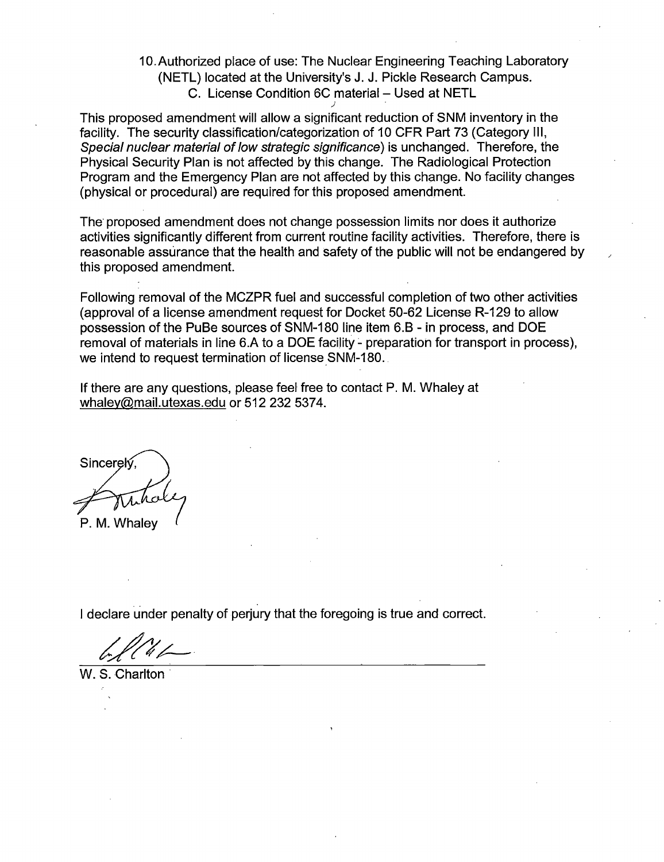10.Authorized place of use: The Nuclear Engineering Teaching Laboratory (NETL) located at the University's J. J. Pickle Research Campus. C. License Condition 6C material - Used at NETL

This proposed amendment will allow a significant reduction of SNM inventory in the facility. The security classification/categorization of 10 CFR Part 73 (Category Ill, Special nuclear material of low strategic significance) is unchanged. Therefore, the Physical Security Plan is not affected by this change. The Radiological Protection Program and the Emergency Plan are not affected by this change. No facility changes (physical or procedural) are required for this proposed amendment.

*)* 

The· proposed amendment does not change possession limits nor does it authorize activities significantly different from current routine facility activities. Therefore, there is reasonable assurance that the health and safety of the public will not be endangered by this proposed amendment.

Following removal of the MCZPR fuel and successful completion of two other activities (approval of a license amendment request for Docket 50-62 License R-129 to allow possession of the PuBe sources of SNM-180 line item 6.8 - in process, and DOE removal of materials in line 6.A to a DOE facility - preparation for transport in process), we intend to request termination of license SNM-180.

If there are any questions, please feel free to contact P. M. Whaley at whaley@mail.utexas.edu or 512 232 5374.

Sincerek P. M. Whalev

I declare under penalty of perjury that the foregoing is true and correct.

W. S. Charlton